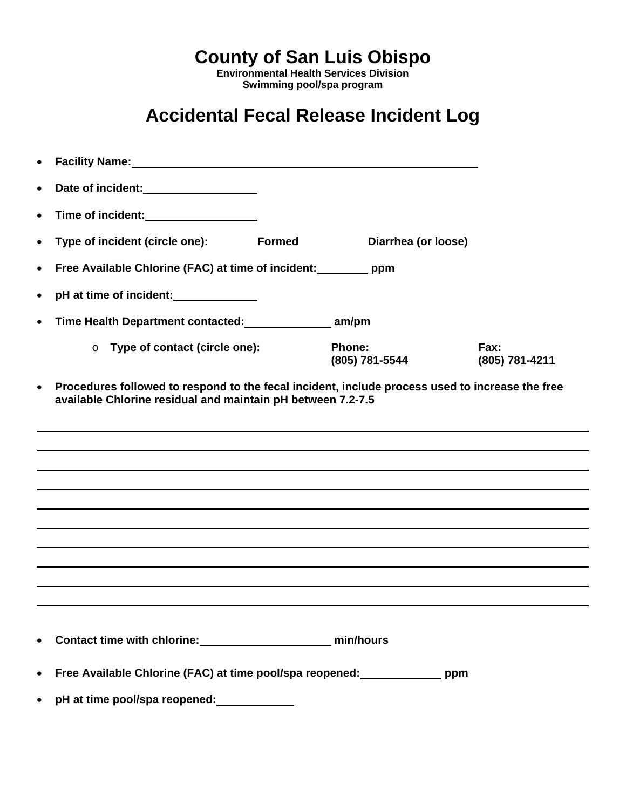**County of San Luis Obispo** 

**Environmental Health Services Division Swimming pool/spa program**

## **Accidental Fecal Release Incident Log**

| $\bullet$ | Facility Name: Manual According to the Contract of the Contract of the Contract of the Contract of the Contract of the Contract of the Contract of the Contract of the Contract of the Contract of the Contract of the Contrac |               |                          |                        |
|-----------|--------------------------------------------------------------------------------------------------------------------------------------------------------------------------------------------------------------------------------|---------------|--------------------------|------------------------|
| $\bullet$ | Date of incident:<br><u>Date of incident:</u>                                                                                                                                                                                  |               |                          |                        |
| $\bullet$ |                                                                                                                                                                                                                                |               |                          |                        |
| $\bullet$ | Type of incident (circle one):                                                                                                                                                                                                 | <b>Formed</b> | Diarrhea (or loose)      |                        |
| $\bullet$ | Free Available Chlorine (FAC) at time of incident: _________ ppm                                                                                                                                                               |               |                          |                        |
| $\bullet$ | pH at time of incident:                                                                                                                                                                                                        |               |                          |                        |
| $\bullet$ | Time Health Department contacted: ________________ am/pm                                                                                                                                                                       |               |                          |                        |
|           | Type of contact (circle one):<br>$\circ$                                                                                                                                                                                       |               | Phone:<br>(805) 781-5544 | Fax:<br>(805) 781-4211 |
| $\bullet$ | Procedures followed to respond to the fecal incident, include process used to increase the free<br>available Chlorine residual and maintain pH between 7.2-7.5                                                                 |               |                          |                        |
|           |                                                                                                                                                                                                                                |               |                          |                        |